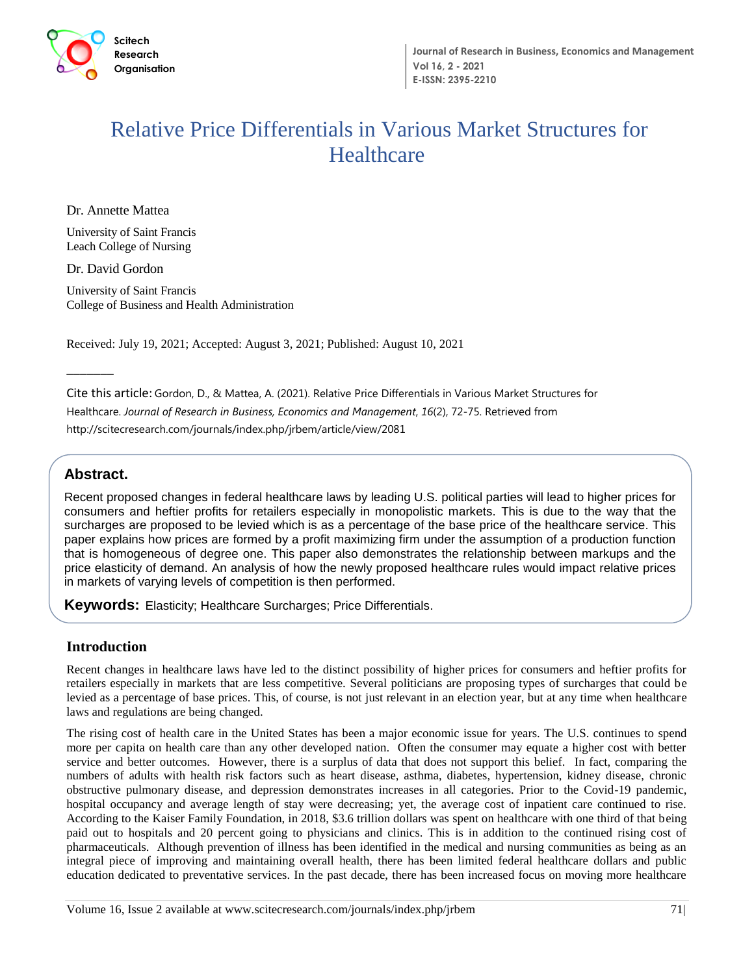

# Relative Price Differentials in Various Market Structures for **Healthcare**

Dr. Annette Mattea

University of Saint Francis Leach College of Nursing

Dr. David Gordon

University of Saint Francis College of Business and Health Administration

Received: July 19, 2021; Accepted: August 3, 2021; Published: August 10, 2021

Cite this article: Gordon, D., & Mattea, A. (2021). Relative Price Differentials in Various Market Structures for Healthcare. *Journal of Research in Business, Economics and Management*, *16*(2), 72-75. Retrieved from http://scitecresearch.com/journals/index.php/jrbem/article/view/2081

## **Abstract.**

 $\overline{\phantom{a}}$ 

**Abstract**  Recent proposed changes in federal healthcare laws by leading U.S. political parties will lead to higher prices for surcharges are proposed to be levied which is as a percentage of the base price of the healthcare service. This consumers and heftier profits for retailers especially in monopolistic markets. This is due to the way that the paper explains how prices are formed by a profit maximizing firm under the assumption of a production function that is homogeneous of degree one. This paper also demonstrates the relationship between markups and the price elasticity of demand. An analysis of how the newly proposed healthcare rules would impact relative prices in markets of varying levels of competition is then performed.

**Keywords:** Elasticity; Healthcare Surcharges; Price Differentials.

### **Introduction**

Recent changes in healthcare laws have led to the distinct possibility of higher prices for consumers and heftier profits for retailers especially in markets that are less competitive. Several politicians are proposing types of surcharges that could be levied as a percentage of base prices. This, of course, is not just relevant in an election year, but at any time when healthcare laws and regulations are being changed.

The rising cost of health care in the United States has been a major economic issue for years. The U.S. continues to spend more per capita on health care than any other developed nation. Often the consumer may equate a higher cost with better service and better outcomes. However, there is a surplus of data that does not support this belief. In fact, comparing the numbers of adults with health risk factors such as heart disease, asthma, diabetes, hypertension, kidney disease, chronic obstructive pulmonary disease, and depression demonstrates increases in all categories. Prior to the Covid-19 pandemic, hospital occupancy and average length of stay were decreasing; yet, the average cost of inpatient care continued to rise. According to the Kaiser Family Foundation, in 2018, \$3.6 trillion dollars was spent on healthcare with one third of that being paid out to hospitals and 20 percent going to physicians and clinics. This is in addition to the continued rising cost of pharmaceuticals. Although prevention of illness has been identified in the medical and nursing communities as being as an integral piece of improving and maintaining overall health, there has been limited federal healthcare dollars and public education dedicated to preventative services. In the past decade, there has been increased focus on moving more healthcare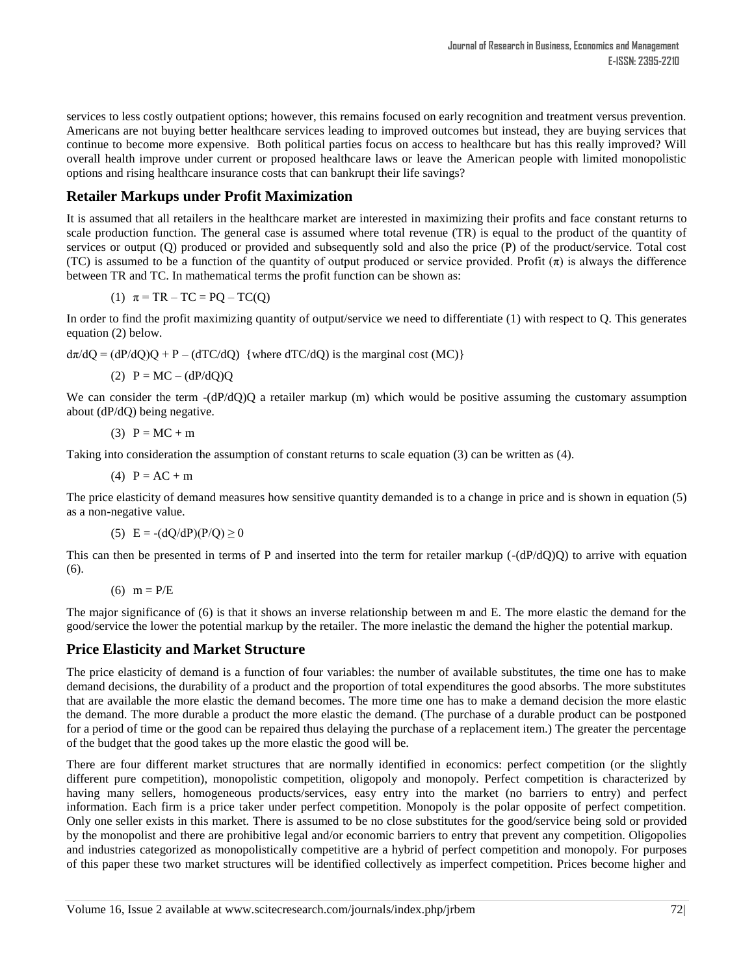services to less costly outpatient options; however, this remains focused on early recognition and treatment versus prevention. Americans are not buying better healthcare services leading to improved outcomes but instead, they are buying services that continue to become more expensive. Both political parties focus on access to healthcare but has this really improved? Will overall health improve under current or proposed healthcare laws or leave the American people with limited monopolistic options and rising healthcare insurance costs that can bankrupt their life savings?

## **Retailer Markups under Profit Maximization**

It is assumed that all retailers in the healthcare market are interested in maximizing their profits and face constant returns to scale production function. The general case is assumed where total revenue (TR) is equal to the product of the quantity of services or output (Q) produced or provided and subsequently sold and also the price (P) of the product/service. Total cost (TC) is assumed to be a function of the quantity of output produced or service provided. Profit  $(\pi)$  is always the difference between TR and TC. In mathematical terms the profit function can be shown as:

$$
(1) \quad \pi = TR - TC = PQ - TC(Q)
$$

In order to find the profit maximizing quantity of output/service we need to differentiate (1) with respect to Q. This generates equation (2) below.

 $d\pi/dQ = (dP/dQ)Q + P - (dTC/dQ)$  {where  $dTC/dQ$ } is the marginal cost (MC)}

(2)  $P = MC - (dP/dO)Q$ 

We can consider the term -(dP/dQ)Q a retailer markup (m) which would be positive assuming the customary assumption about (dP/dQ) being negative.

$$
(3) P = MC + m
$$

Taking into consideration the assumption of constant returns to scale equation (3) can be written as (4).

(4)  $P = AC + m$ 

The price elasticity of demand measures how sensitive quantity demanded is to a change in price and is shown in equation (5) as a non-negative value.

(5)  $E = -(dQ/dP)(P/Q) \ge 0$ 

This can then be presented in terms of P and inserted into the term for retailer markup  $(-\frac{dP}{dQ})Q$  to arrive with equation (6).

(6)  $m = P/E$ 

The major significance of (6) is that it shows an inverse relationship between m and E. The more elastic the demand for the good/service the lower the potential markup by the retailer. The more inelastic the demand the higher the potential markup.

### **Price Elasticity and Market Structure**

The price elasticity of demand is a function of four variables: the number of available substitutes, the time one has to make demand decisions, the durability of a product and the proportion of total expenditures the good absorbs. The more substitutes that are available the more elastic the demand becomes. The more time one has to make a demand decision the more elastic the demand. The more durable a product the more elastic the demand. (The purchase of a durable product can be postponed for a period of time or the good can be repaired thus delaying the purchase of a replacement item.) The greater the percentage of the budget that the good takes up the more elastic the good will be.

There are four different market structures that are normally identified in economics: perfect competition (or the slightly different pure competition), monopolistic competition, oligopoly and monopoly. Perfect competition is characterized by having many sellers, homogeneous products/services, easy entry into the market (no barriers to entry) and perfect information. Each firm is a price taker under perfect competition. Monopoly is the polar opposite of perfect competition. Only one seller exists in this market. There is assumed to be no close substitutes for the good/service being sold or provided by the monopolist and there are prohibitive legal and/or economic barriers to entry that prevent any competition. Oligopolies and industries categorized as monopolistically competitive are a hybrid of perfect competition and monopoly. For purposes of this paper these two market structures will be identified collectively as imperfect competition. Prices become higher and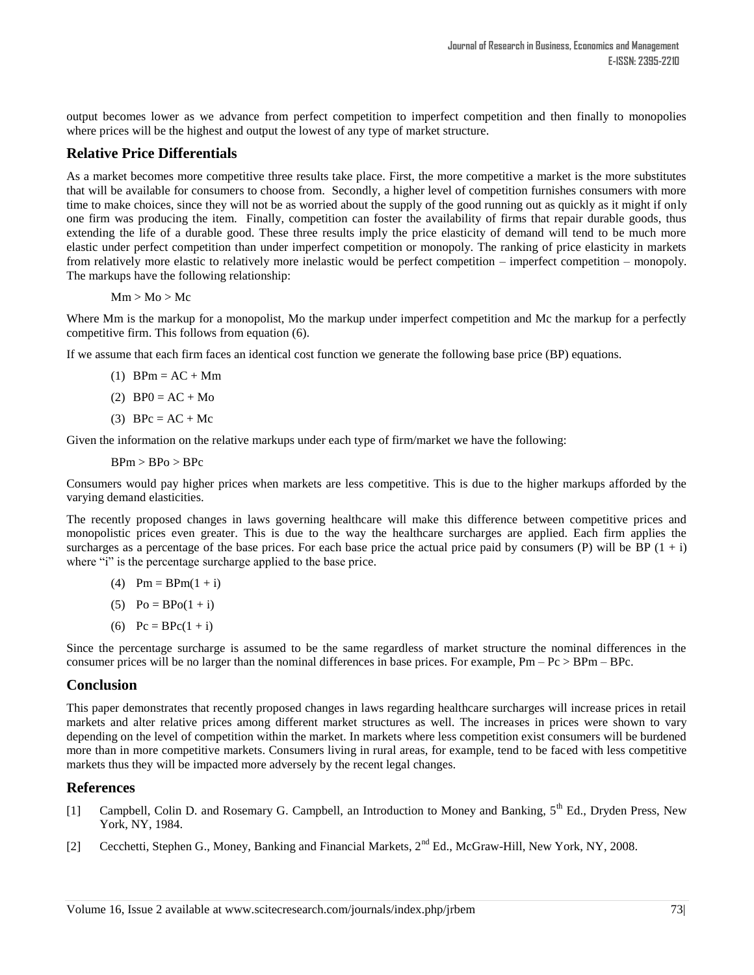output becomes lower as we advance from perfect competition to imperfect competition and then finally to monopolies where prices will be the highest and output the lowest of any type of market structure.

#### **Relative Price Differentials**

As a market becomes more competitive three results take place. First, the more competitive a market is the more substitutes that will be available for consumers to choose from. Secondly, a higher level of competition furnishes consumers with more time to make choices, since they will not be as worried about the supply of the good running out as quickly as it might if only one firm was producing the item. Finally, competition can foster the availability of firms that repair durable goods, thus extending the life of a durable good. These three results imply the price elasticity of demand will tend to be much more elastic under perfect competition than under imperfect competition or monopoly. The ranking of price elasticity in markets from relatively more elastic to relatively more inelastic would be perfect competition – imperfect competition – monopoly. The markups have the following relationship:

 $Mm > Mo > Mc$ 

Where Mm is the markup for a monopolist, Mo the markup under imperfect competition and Mc the markup for a perfectly competitive firm. This follows from equation (6).

If we assume that each firm faces an identical cost function we generate the following base price (BP) equations.

- $(1)$  BPm = AC + Mm
- (2)  $BP0 = AC + Mo$
- (3) BPc =  $AC + Mc$

Given the information on the relative markups under each type of firm/market we have the following:

 $B Pm > B Po > B Pc$ 

Consumers would pay higher prices when markets are less competitive. This is due to the higher markups afforded by the varying demand elasticities.

The recently proposed changes in laws governing healthcare will make this difference between competitive prices and monopolistic prices even greater. This is due to the way the healthcare surcharges are applied. Each firm applies the surcharges as a percentage of the base prices. For each base price the actual price paid by consumers (P) will be BP  $(1 + i)$ where "i" is the percentage surcharge applied to the base price.

- (4)  $Pm = B P m (1 + i)$
- (5)  $Po = BPo(1 + i)$
- (6)  $Pc = BPc(1 + i)$

Since the percentage surcharge is assumed to be the same regardless of market structure the nominal differences in the consumer prices will be no larger than the nominal differences in base prices. For example,  $Pm - Pc > BPm - Bpc$ .

#### **Conclusion**

This paper demonstrates that recently proposed changes in laws regarding healthcare surcharges will increase prices in retail markets and alter relative prices among different market structures as well. The increases in prices were shown to vary depending on the level of competition within the market. In markets where less competition exist consumers will be burdened more than in more competitive markets. Consumers living in rural areas, for example, tend to be faced with less competitive markets thus they will be impacted more adversely by the recent legal changes.

#### **References**

- [1] Campbell, Colin D. and Rosemary G. Campbell, an Introduction to Money and Banking,  $5^{th}$  Ed., Dryden Press, New York, NY, 1984.
- [2] Cecchetti, Stephen G., Money, Banking and Financial Markets, 2<sup>nd</sup> Ed., McGraw-Hill, New York, NY, 2008.